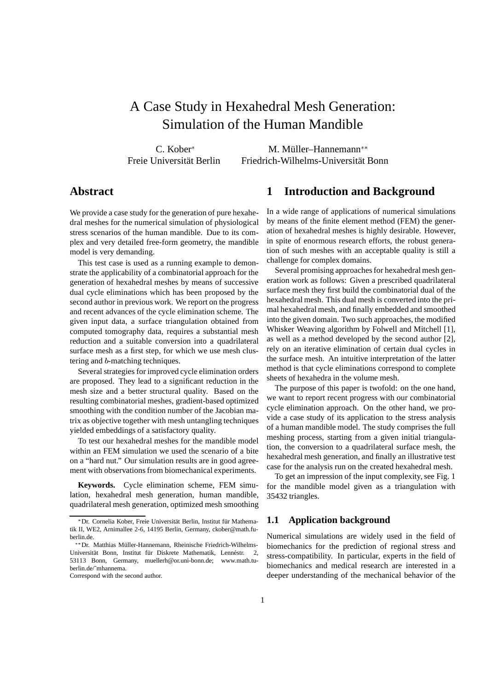# A Case Study in Hexahedral Mesh Generation: Simulation of the Human Mandible

C. Kober Freie Universität Berlin

M. Müller–Hannemann\*\* Friedrich-Wilhelms-Universität Bonn

## **Abstract**

We provide a case study for the generation of pure hexahedral meshes for the numerical simulation of physiological stress scenarios of the human mandible. Due to its complex and very detailed free-form geometry, the mandible model is very demanding.

This test case is used as a running example to demonstrate the applicability of a combinatorial approach for the generation of hexahedral meshes by means of successive dual cycle eliminations which has been proposed by the second author in previous work. We report on the progress and recent advances of the cycle elimination scheme. The given input data, a surface triangulation obtained from computed tomography data, requires a substantial mesh reduction and a suitable conversion into a quadrilateral surface mesh as a first step, for which we use mesh clustering and b-matching techniques.

Several strategies for improved cycle elimination orders are proposed. They lead to a significant reduction in the mesh size and a better structural quality. Based on the resulting combinatorial meshes, gradient-based optimized smoothing with the condition number of the Jacobian matrix as objective together with mesh untangling techniques yielded embeddings of a satisfactory quality.

To test our hexahedral meshes for the mandible model within an FEM simulation we used the scenario of a bite on a "hard nut." Our simulation results are in good agreement with observations from biomechanical experiments.

**Keywords.** Cycle elimination scheme, FEM simulation, hexahedral mesh generation, human mandible, quadrilateral mesh generation, optimized mesh smoothing

### **1 Introduction and Background**

In a wide range of applications of numerical simulations by means of the finite element method (FEM) the generation of hexahedral meshes is highly desirable. However, in spite of enormous research efforts, the robust generation of such meshes with an acceptable quality is still a challenge for complex domains.

Several promising approaches for hexahedral mesh generation work as follows: Given a prescribed quadrilateral surface mesh they first build the combinatorial dual of the hexahedral mesh. This dual mesh is converted into the primal hexahedral mesh, and finally embedded and smoothed into the given domain. Two such approaches, the modified Whisker Weaving algorithm by Folwell and Mitchell [1], as well as a method developed by the second author [2], rely on an iterative elimination of certain dual cycles in the surface mesh. An intuitive interpretation of the latter method is that cycle eliminations correspond to complete sheets of hexahedra in the volume mesh.

The purpose of this paper is twofold: on the one hand, we want to report recent progress with our combinatorial cycle elimination approach. On the other hand, we provide a case study of its application to the stress analysis of a human mandible model. The study comprises the full meshing process, starting from a given initial triangulation, the conversion to a quadrilateral surface mesh, the hexahedral mesh generation, and finally an illustrative test case for the analysis run on the created hexahedral mesh.

To get an impression of the input complexity, see Fig. 1 for the mandible model given as a triangulation with 35432 triangles.

## **1.1 Application background**

Numerical simulations are widely used in the field of biomechanics for the prediction of regional stress and stress-compatibility. In particular, experts in the field of biomechanics and medical research are interested in a deeper understanding of the mechanical behavior of the

<sup>\*</sup> Dr. Cornelia Kober, Freie Universität Berlin, Institut für Mathematik II, WE2, Arnimallee 2-6, 14195 Berlin, Germany, ckober@math.fuberlin.de.

<sup>\*\*</sup> Dr. Matthias Müller-Hannemann, Rheinische Friedrich-Wilhelms-Universität Bonn, Institut für Diskrete Mathematik, Lennéstr. 2, 53113 Bonn, Germany, muellerh@or.uni-bonn.de; www.math.tuberlin.de/˜mhannema.

Correspond with the second author.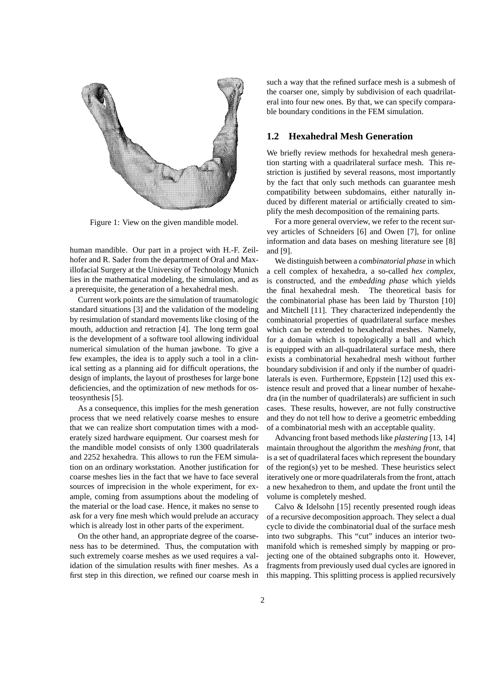

Figure 1: View on the given mandible model.

human mandible. Our part in a project with H.-F. Zeilhofer and R. Sader from the department of Oral and Maxillofacial Surgery at the University of Technology Munich lies in the mathematical modeling, the simulation, and as a prerequisite, the generation of a hexahedral mesh.

Current work points are the simulation of traumatologic standard situations [3] and the validation of the modeling by resimulation of standard movements like closing of the mouth, adduction and retraction [4]. The long term goal is the development of a software tool allowing individual numerical simulation of the human jawbone. To give a few examples, the idea is to apply such a tool in a clinical setting as a planning aid for difficult operations, the design of implants, the layout of prostheses for large bone deficiencies, and the optimization of new methods for osteosynthesis [5].

As a consequence, this implies for the mesh generation process that we need relatively coarse meshes to ensure that we can realize short computation times with a moderately sized hardware equipment. Our coarsest mesh for the mandible model consists of only 1300 quadrilaterals and 2252 hexahedra. This allows to run the FEM simulation on an ordinary workstation. Another justification for coarse meshes lies in the fact that we have to face several sources of imprecision in the whole experiment, for example, coming from assumptions about the modeling of the material or the load case. Hence, it makes no sense to ask for a very fine mesh which would prelude an accuracy which is already lost in other parts of the experiment.

On the other hand, an appropriate degree of the coarseness has to be determined. Thus, the computation with such extremely coarse meshes as we used requires a validation of the simulation results with finer meshes. As a first step in this direction, we refined our coarse mesh in

such a way that the refined surface mesh is a submesh of the coarser one, simply by subdivision of each quadrilateral into four new ones. By that, we can specify comparable boundary conditions in the FEM simulation.

#### **1.2 Hexahedral Mesh Generation**

We briefly review methods for hexahedral mesh generation starting with a quadrilateral surface mesh. This restriction is justified by several reasons, most importantly by the fact that only such methods can guarantee mesh compatibility between subdomains, either naturally induced by different material or artificially created to simplify the mesh decomposition of the remaining parts.

For a more general overview, we refer to the recent survey articles of Schneiders [6] and Owen [7], for online information and data bases on meshing literature see [8] and [9].

We distinguish between a *combinatorial phase* in which a cell complex of hexahedra, a so-called *hex complex*, is constructed, and the *embedding phase* which yields the final hexahedral mesh. The theoretical basis for the combinatorial phase has been laid by Thurston [10] and Mitchell [11]. They characterized independently the combinatorial properties of quadrilateral surface meshes which can be extended to hexahedral meshes. Namely, for a domain which is topologically a ball and which is equipped with an all-quadrilateral surface mesh, there exists a combinatorial hexahedral mesh without further boundary subdivision if and only if the number of quadrilaterals is even. Furthermore, Eppstein [12] used this existence result and proved that a linear number of hexahedra (in the number of quadrilaterals) are sufficient in such cases. These results, however, are not fully constructive and they do not tell how to derive a geometric embedding of a combinatorial mesh with an acceptable quality.

Advancing front based methods like *plastering* [13, 14] maintain throughout the algorithm the *meshing front*, that is a set of quadrilateral faces which represent the boundary of the region(s) yet to be meshed. These heuristics select iteratively one or more quadrilaterals from the front, attach a new hexahedron to them, and update the front until the volume is completely meshed.

Calvo & Idelsohn [15] recently presented rough ideas of a recursive decomposition approach. They select a dual cycle to divide the combinatorial dual of the surface mesh into two subgraphs. This "cut" induces an interior twomanifold which is remeshed simply by mapping or projecting one of the obtained subgraphs onto it. However, fragments from previously used dual cycles are ignored in this mapping. This splitting process is applied recursively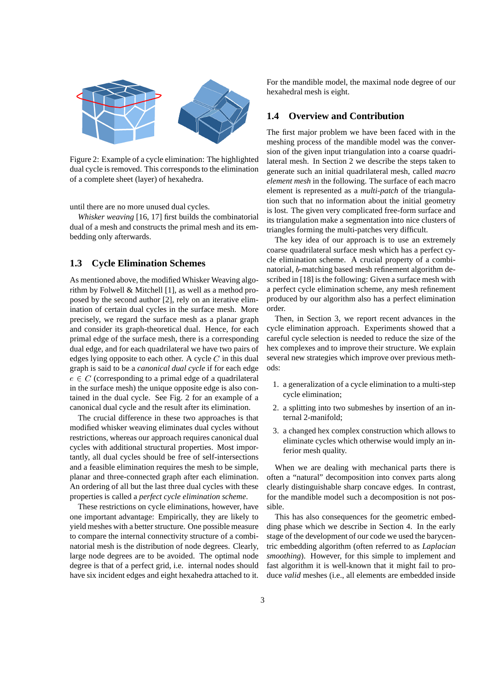

Figure 2: Example of a cycle elimination: The highlighted dual cycle is removed. This corresponds to the elimination of a complete sheet (layer) of hexahedra.

until there are no more unused dual cycles.

*Whisker weaving* [16, 17] first builds the combinatorial dual of a mesh and constructs the primal mesh and its embedding only afterwards.

### **1.3 Cycle Elimination Schemes**

As mentioned above, the modified Whisker Weaving algorithm by Folwell & Mitchell [1], as well as a method proposed by the second author [2], rely on an iterative elimination of certain dual cycles in the surface mesh. More precisely, we regard the surface mesh as a planar graph and consider its graph-theoretical dual. Hence, for each primal edge of the surface mesh, there is a corresponding dual edge, and for each quadrilateral we have two pairs of edges lying opposite to each other. A cycle  $C$  in this dual graph is said to be a *canonical dual cycle* if for each edge  $e \in C$  (corresponding to a primal edge of a quadrilateral in the surface mesh) the unique opposite edge is also contained in the dual cycle. See Fig. 2 for an example of a canonical dual cycle and the result after its elimination.

The crucial difference in these two approaches is that modified whisker weaving eliminates dual cycles without restrictions, whereas our approach requires canonical dual cycles with additional structural properties. Most importantly, all dual cycles should be free of self-intersections and a feasible elimination requires the mesh to be simple, planar and three-connected graph after each elimination. An ordering of all but the last three dual cycles with these properties is called a *perfect cycle elimination scheme*.

These restrictions on cycle eliminations, however, have one important advantage: Empirically, they are likely to yield meshes with a better structure. One possible measure to compare the internal connectivity structure of a combinatorial mesh is the distribution of node degrees. Clearly, large node degrees are to be avoided. The optimal node degree is that of a perfect grid, i.e. internal nodes should have six incident edges and eight hexahedra attached to it.

For the mandible model, the maximal node degree of our hexahedral mesh is eight.

#### **1.4 Overview and Contribution**

The first major problem we have been faced with in the meshing process of the mandible model was the conversion of the given input triangulation into a coarse quadrilateral mesh. In Section 2 we describe the steps taken to generate such an initial quadrilateral mesh, called *macro element mesh* in the following. The surface of each macro element is represented as a *multi-patch* of the triangulation such that no information about the initial geometry is lost. The given very complicated free-form surface and its triangulation make a segmentation into nice clusters of triangles forming the multi-patches very difficult.

The key idea of our approach is to use an extremely coarse quadrilateral surface mesh which has a perfect cycle elimination scheme. A crucial property of a combinatorial, b-matching based mesh refinement algorithm described in [18] is the following: Given a surface mesh with a perfect cycle elimination scheme, any mesh refinement produced by our algorithm also has a perfect elimination order.

Then, in Section 3, we report recent advances in the cycle elimination approach. Experiments showed that a careful cycle selection is needed to reduce the size of the hex complexes and to improve their structure. We explain several new strategies which improve over previous methods:

- 1. a generalization of a cycle elimination to a multi-step cycle elimination;
- 2. a splitting into two submeshes by insertion of an internal 2-manifold;
- 3. a changed hex complex construction which allows to eliminate cycles which otherwise would imply an inferior mesh quality.

When we are dealing with mechanical parts there is often a "natural" decomposition into convex parts along clearly distinguishable sharp concave edges. In contrast, for the mandible model such a decomposition is not possible.

This has also consequences for the geometric embedding phase which we describe in Section 4. In the early stage of the development of our code we used the barycentric embedding algorithm (often referred to as *Laplacian smoothing*). However, for this simple to implement and fast algorithm it is well-known that it might fail to produce *valid* meshes (i.e., all elements are embedded inside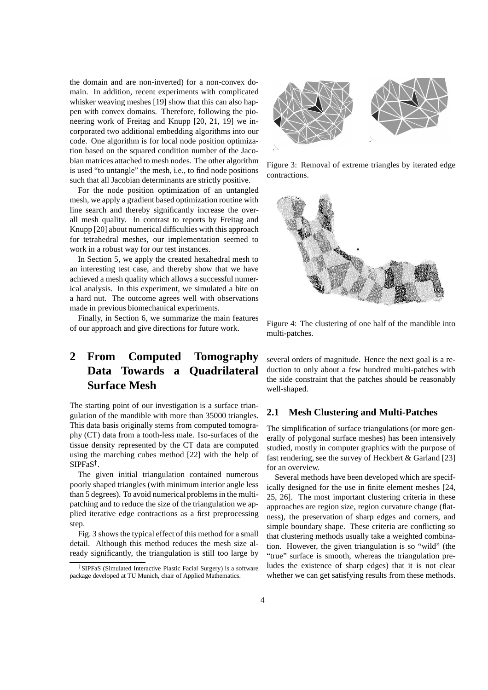the domain and are non-inverted) for a non-convex domain. In addition, recent experiments with complicated whisker weaving meshes [19] show that this can also happen with convex domains. Therefore, following the pioneering work of Freitag and Knupp [20, 21, 19] we incorporated two additional embedding algorithms into our code. One algorithm is for local node position optimization based on the squared condition number of the Jacobian matrices attached to mesh nodes. The other algorithm is used "to untangle" the mesh, i.e., to find node positions such that all Jacobian determinants are strictly positive.

For the node position optimization of an untangled mesh, we apply a gradient based optimization routine with line search and thereby significantly increase the overall mesh quality. In contrast to reports by Freitag and Knupp [20] about numerical difficulties with this approach for tetrahedral meshes, our implementation seemed to work in a robust way for our test instances.

In Section 5, we apply the created hexahedral mesh to an interesting test case, and thereby show that we have achieved a mesh quality which allows a successful numerical analysis. In this experiment, we simulated a bite on a hard nut. The outcome agrees well with observations made in previous biomechanical experiments.

Finally, in Section 6, we summarize the main features of our approach and give directions for future work.

## **2 From Computed Tomography Data Towards a Quadrilateral Surface Mesh**

The starting point of our investigation is a surface triangulation of the mandible with more than 35000 triangles. This data basis originally stems from computed tomography (CT) data from a tooth-less male. Iso-surfaces of the tissue density represented by the CT data are computed using the marching cubes method [22] with the help of  $SIPFaS^{\dagger}$ .

The given initial triangulation contained numerous poorly shaped triangles (with minimum interior angle less than 5 degrees). To avoid numerical problems in the multipatching and to reduce the size of the triangulation we applied iterative edge contractions as a first preprocessing step.

Fig. 3 shows the typical effect of this method for a small detail. Although this method reduces the mesh size already significantly, the triangulation is still too large by



Figure 3: Removal of extreme triangles by iterated edge contractions.



Figure 4: The clustering of one half of the mandible into multi-patches.

several orders of magnitude. Hence the next goal is a reduction to only about a few hundred multi-patches with the side constraint that the patches should be reasonably well-shaped.

#### **2.1 Mesh Clustering and Multi-Patches**

The simplification of surface triangulations (or more generally of polygonal surface meshes) has been intensively studied, mostly in computer graphics with the purpose of fast rendering, see the survey of Heckbert & Garland [23] for an overview.

Several methods have been developed which are specifically designed for the use in finite element meshes [24, 25, 26]. The most important clustering criteria in these approaches are region size, region curvature change (flatness), the preservation of sharp edges and corners, and simple boundary shape. These criteria are conflicting so that clustering methods usually take a weighted combination. However, the given triangulation is so "wild" (the "true" surface is smooth, whereas the triangulation preludes the existence of sharp edges) that it is not clear whether we can get satisfying results from these methods.

<sup>&</sup>lt;sup>†</sup> SIPFaS (Simulated Interactive Plastic Facial Surgery) is a software package developed at TU Munich, chair of Applied Mathematics.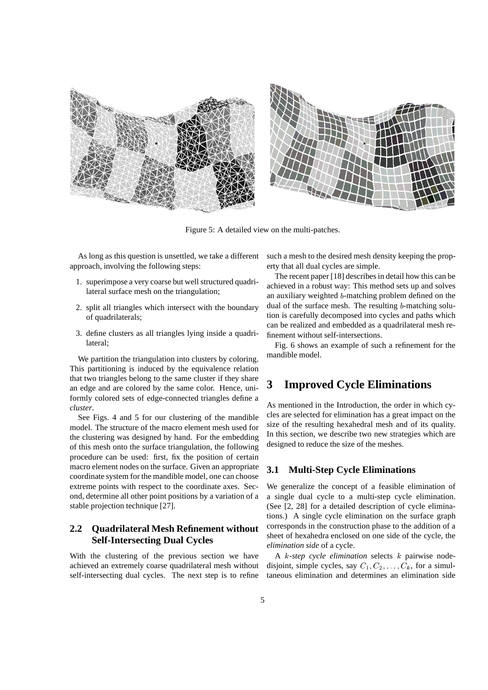

Figure 5: A detailed view on the multi-patches.

As long as this question is unsettled, we take a different approach, involving the following steps:

- 1. superimpose a very coarse but well structured quadrilateral surface mesh on the triangulation;
- 2. split all triangles which intersect with the boundary of quadrilaterals;
- 3. define clusters as all triangles lying inside a quadrilateral;

We partition the triangulation into clusters by coloring. This partitioning is induced by the equivalence relation that two triangles belong to the same cluster if they share an edge and are colored by the same color. Hence, uniformly colored sets of edge-connected triangles define a *cluster*.

See Figs. 4 and 5 for our clustering of the mandible model. The structure of the macro element mesh used for the clustering was designed by hand. For the embedding of this mesh onto the surface triangulation, the following procedure can be used: first, fix the position of certain macro element nodes on the surface. Given an appropriate coordinate system for the mandible model, one can choose extreme points with respect to the coordinate axes. Second, determine all other point positions by a variation of a stable projection technique [27].

### **2.2 Quadrilateral Mesh Refinement without Self-Intersecting Dual Cycles**

With the clustering of the previous section we have achieved an extremely coarse quadrilateral mesh without self-intersecting dual cycles. The next step is to refine

such a mesh to the desired mesh density keeping the property that all dual cycles are simple.

The recent paper [18] describes in detail how this can be achieved in a robust way: This method sets up and solves an auxiliary weighted b-matching problem defined on the dual of the surface mesh. The resulting b-matching solution is carefully decomposed into cycles and paths which can be realized and embedded as a quadrilateral mesh refinement without self-intersections.

Fig. 6 shows an example of such a refinement for the mandible model.

## **3 Improved Cycle Eliminations**

As mentioned in the Introduction, the order in which cycles are selected for elimination has a great impact on the size of the resulting hexahedral mesh and of its quality. In this section, we describe two new strategies which are designed to reduce the size of the meshes.

### **3.1 Multi-Step Cycle Eliminations**

We generalize the concept of a feasible elimination of a single dual cycle to a multi-step cycle elimination. (See [2, 28] for a detailed description of cycle eliminations.) A single cycle elimination on the surface graph corresponds in the construction phase to the addition of a sheet of hexahedra enclosed on one side of the cycle, the *elimination side* of a cycle.

A k*-step cycle elimination* selects k pairwise nodedisjoint, simple cycles, say  $C_1, C_2, \ldots, C_k$ , for a simultaneous elimination and determines an elimination side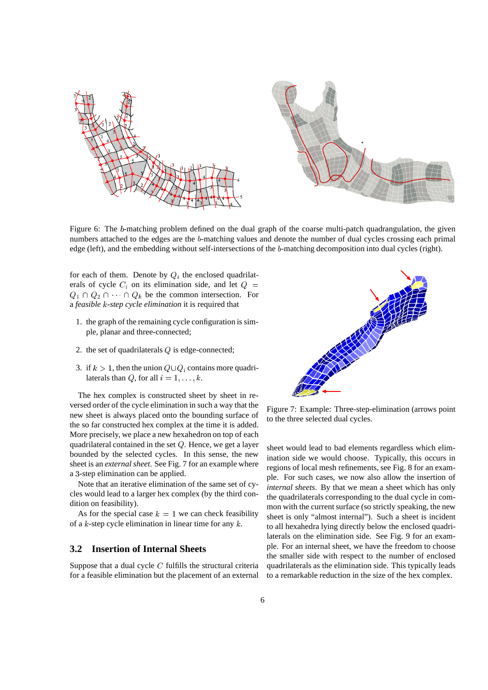

Figure 6: The b-matching problem defined on the dual graph of the coarse multi-patch quadrangulation, the given numbers attached to the edges are the b-matching values and denote the number of dual cycles crossing each primal edge (left), and the embedding without self-intersections of the b-matching decomposition into dual cycles (right).

for each of them. Denote by  $Q_i$  the enclosed quadrilaterals of cycle  $C_i$  on its elimination side, and let  $Q =$  $Q_1 \cap Q_2 \cap \cdots \cap Q_k$  be the common intersection. For a *feasible* k*-step cycle elimination* it is required that

- 1. the graph of the remaining cycle configuration is simple, planar and three-connected;
- 2. the set of quadrilaterals  $Q$  is edge-connected;
- 3. if  $k > 1$ , then the union  $Q \cup Q_i$  contains more quadrilaterals than Q, for all  $i = 1, \ldots, k$ .

The hex complex is constructed sheet by sheet in reversed order of the cycle elimination in such a way that the new sheet is always placed onto the bounding surface of the so far constructed hex complex at the time it is added. More precisely, we place a new hexahedron on top of each quadrilateral contained in the set Q. Hence, we get a layer bounded by the selected cycles. In this sense, the new sheet is an *external sheet*. See Fig. 7 for an example where a <sup>3</sup>-step elimination can be applied.

Note that an iterative elimination of the same set of cycles would lead to a larger hex complex (by the third condition on feasibility).

As for the special case  $k = 1$  we can check feasibility of a  $k$ -step cycle elimination in linear time for any  $k$ .

#### **3.2 Insertion of Internal Sheets**

Suppose that a dual cycle  $C$  fulfills the structural criteria for a feasible elimination but the placement of an external



Figure 7: Example: Three-step-elimination (arrows point to the three selected dual cycles.

sheet would lead to bad elements regardless which elimination side we would choose. Typically, this occurs in regions of local mesh refinements, see Fig. 8 for an example. For such cases, we now also allow the insertion of *internal sheets*. By that we mean a sheet which has only the quadrilaterals corresponding to the dual cycle in common with the current surface (so strictly speaking, the new sheet is only "almost internal"). Such a sheet is incident to all hexahedra lying directly below the enclosed quadrilaterals on the elimination side. See Fig. 9 for an example. For an internal sheet, we have the freedom to choose the smaller side with respect to the number of enclosed quadrilaterals as the elimination side. This typically leads to a remarkable reduction in the size of the hex complex.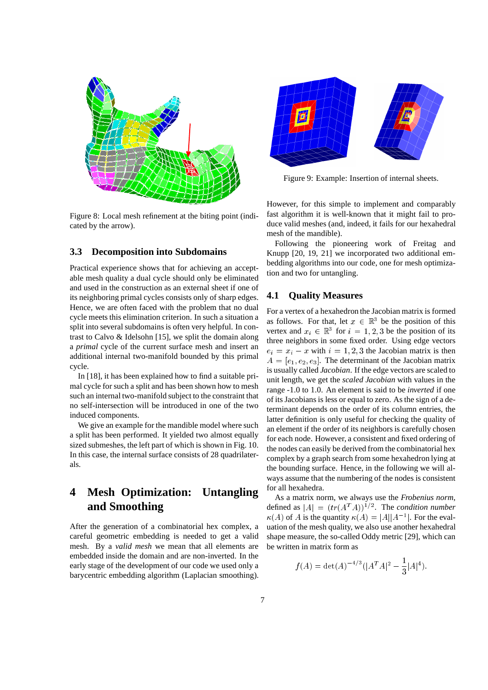

Figure 8: Local mesh refinement at the biting point (indicated by the arrow).

#### **3.3 Decomposition into Subdomains**

Practical experience shows that for achieving an acceptable mesh quality a dual cycle should only be eliminated and used in the construction as an external sheet if one of its neighboring primal cycles consists only of sharp edges. Hence, we are often faced with the problem that no dual cycle meets this elimination criterion. In such a situation a split into several subdomains is often very helpful. In contrast to Calvo & Idelsohn [15], we split the domain along a *primal* cycle of the current surface mesh and insert an additional internal two-manifold bounded by this primal cycle.

In [18], it has been explained how to find a suitable primal cycle for such a split and has been shown how to mesh such an internal two-manifold subject to the constraint that no self-intersection will be introduced in one of the two induced components.

We give an example for the mandible model where such a split has been performed. It yielded two almost equally sized submeshes, the left part of which is shown in Fig. 10. In this case, the internal surface consists of 28 quadrilaterals.

## **4 Mesh Optimization: Untangling and Smoothing**

After the generation of a combinatorial hex complex, a careful geometric embedding is needed to get a valid mesh. By a *valid mesh* we mean that all elements are embedded inside the domain and are non-inverted. In the early stage of the development of our code we used only a barycentric embedding algorithm (Laplacian smoothing).



Figure 9: Example: Insertion of internal sheets.

However, for this simple to implement and comparably fast algorithm it is well-known that it might fail to produce valid meshes (and, indeed, it fails for our hexahedral mesh of the mandible).

Following the pioneering work of Freitag and Knupp [20, 19, 21] we incorporated two additional embedding algorithms into our code, one for mesh optimization and two for untangling.

#### **4.1 Quality Measures**

For a vertex of a hexahedron the Jacobian matrix is formed as follows. For that, let  $x \in \mathbb{R}^3$  be the position of this vertex and  $x_i \in \mathbb{R}^3$  for  $i = 1, 2, 3$  be the position of its three neighbors in some fixed order. Using edge vectors  $e_i = x_i - x$  with  $i = 1, 2, 3$  the Jacobian matrix is then  $A = [e_1, e_2, e_3]$ . The determinant of the Jacobian matrix is usually called *Jacobian*. If the edge vectors are scaled to unit length, we get the *scaled Jacobian* with values in the range -1.0 to 1.0. An element is said to be *inverted* if one of its Jacobians is less or equal to zero. As the sign of a determinant depends on the order of its column entries, the latter definition is only useful for checking the quality of an element if the order of its neighbors is carefully chosen for each node. However, a consistent and fixed ordering of the nodes can easily be derived from the combinatorial hex complex by a graph search from some hexahedron lying at the bounding surface. Hence, in the following we will always assume that the numbering of the nodes is consistent for all hexahedra.

As a matrix norm, we always use the *Frobenius norm*, defined as  $|A| = (tr(A^T A))^{1/2}$ . The *condition number*  $\kappa(A)$  of A is the quantity  $\kappa(A) = |A||A^{-1}|$ . For the evaluation of the mesh quality, we also use another hexahedral shape measure, the so-called Oddy metric [29], which can be written in matrix form as

$$
f(A) = \det(A)^{-4/3} (|A^T A|^2 - \frac{1}{3}|A|^4).
$$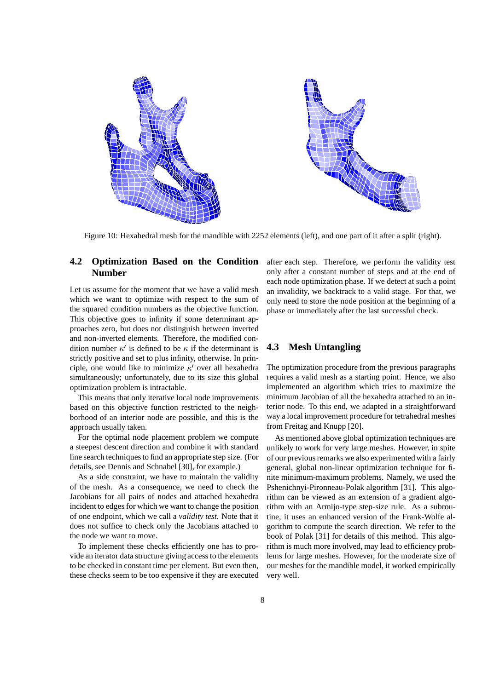

Figure 10: Hexahedral mesh for the mandible with 2252 elements (left), and one part of it after a split (right).

### **4.2 Optimization Based on the Condition Number**

Let us assume for the moment that we have a valid mesh which we want to optimize with respect to the sum of the squared condition numbers as the objective function. This objective goes to infinity if some determinant approaches zero, but does not distinguish between inverted and non-inverted elements. Therefore, the modified condition number  $\kappa'$  is defined to be  $\kappa$  if the determinant is strictly positive and set to plus infinity, otherwise. In principle, one would like to minimize  $\kappa'$  over all hexahedra simultaneously; unfortunately, due to its size this global optimization problem is intractable.

This means that only iterative local node improvements based on this objective function restricted to the neighborhood of an interior node are possible, and this is the approach usually taken.

For the optimal node placement problem we compute a steepest descent direction and combine it with standard line search techniques to find an appropriate step size. (For details, see Dennis and Schnabel [30], for example.)

As a side constraint, we have to maintain the validity of the mesh. As a consequence, we need to check the Jacobians for all pairs of nodes and attached hexahedra incident to edges for which we want to change the position of one endpoint, which we call a *validity test*. Note that it does not suffice to check only the Jacobians attached to the node we want to move.

To implement these checks efficiently one has to provide an iterator data structure giving access to the elements to be checked in constant time per element. But even then, these checks seem to be too expensive if they are executed after each step. Therefore, we perform the validity test only after a constant number of steps and at the end of each node optimization phase. If we detect at such a point an invalidity, we backtrack to a valid stage. For that, we only need to store the node position at the beginning of a phase or immediately after the last successful check.

#### **4.3 Mesh Untangling**

The optimization procedure from the previous paragraphs requires a valid mesh as a starting point. Hence, we also implemented an algorithm which tries to maximize the minimum Jacobian of all the hexahedra attached to an interior node. To this end, we adapted in a straightforward way a local improvement procedure for tetrahedral meshes from Freitag and Knupp [20].

As mentioned above global optimization techniques are unlikely to work for very large meshes. However, in spite of our previous remarks we also experimented with a fairly general, global non-linear optimization technique for finite minimum-maximum problems. Namely, we used the Pshenichnyi-Pironneau-Polak algorithm [31]. This algorithm can be viewed as an extension of a gradient algorithm with an Armijo-type step-size rule. As a subroutine, it uses an enhanced version of the Frank-Wolfe algorithm to compute the search direction. We refer to the book of Polak [31] for details of this method. This algorithm is much more involved, may lead to efficiency problems for large meshes. However, for the moderate size of our meshes for the mandible model, it worked empirically very well.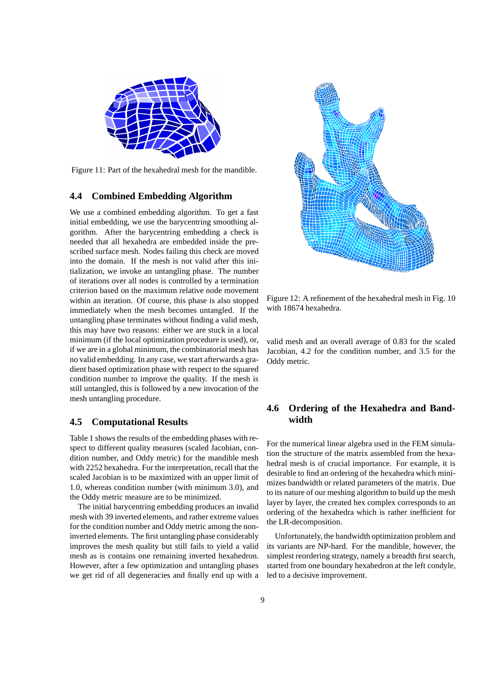

Figure 11: Part of the hexahedral mesh for the mandible.

#### **4.4 Combined Embedding Algorithm**

We use a combined embedding algorithm. To get a fast initial embedding, we use the barycentring smoothing algorithm. After the barycentring embedding a check is needed that all hexahedra are embedded inside the prescribed surface mesh. Nodes failing this check are moved into the domain. If the mesh is not valid after this initialization, we invoke an untangling phase. The number of iterations over all nodes is controlled by a termination criterion based on the maximum relative node movement within an iteration. Of course, this phase is also stopped immediately when the mesh becomes untangled. If the untangling phase terminates without finding a valid mesh, this may have two reasons: either we are stuck in a local minimum (if the local optimization procedure is used), or, if we are in a global minimum, the combinatorial mesh has no valid embedding. In any case, we start afterwards a gradient based optimization phase with respect to the squared condition number to improve the quality. If the mesh is still untangled, this is followed by a new invocation of the mesh untangling procedure.

#### **4.5 Computational Results**

Table 1 shows the results of the embedding phases with respect to different quality measures (scaled Jacobian, condition number, and Oddy metric) for the mandible mesh with 2252 hexahedra. For the interpretation, recall that the scaled Jacobian is to be maximized with an upper limit of 1.0, whereas condition number (with minimum 3.0), and the Oddy metric measure are to be minimized.

The initial barycentring embedding produces an invalid mesh with 39 inverted elements, and rather extreme values for the condition number and Oddy metric among the noninverted elements. The first untangling phase considerably improves the mesh quality but still fails to yield a valid mesh as is contains one remaining inverted hexahedron. However, after a few optimization and untangling phases we get rid of all degeneracies and finally end up with a



Figure 12: A refinement of the hexahedral mesh in Fig. 10 with 18674 hexahedra.

valid mesh and an overall average of 0.83 for the scaled Jacobian, 4.2 for the condition number, and 3.5 for the Oddy metric.

## **4.6 Ordering of the Hexahedra and Bandwidth**

For the numerical linear algebra used in the FEM simulation the structure of the matrix assembled from the hexahedral mesh is of crucial importance. For example, it is desirable to find an ordering of the hexahedra which minimizes bandwidth or related parameters of the matrix. Due to its nature of our meshing algorithm to build up the mesh layer by layer, the created hex complex corresponds to an ordering of the hexahedra which is rather inefficient for the LR-decomposition.

Unfortunately, the bandwidth optimization problem and its variants are NP-hard. For the mandible, however, the simplest reordering strategy, namely a breadth first search, started from one boundary hexahedron at the left condyle, led to a decisive improvement.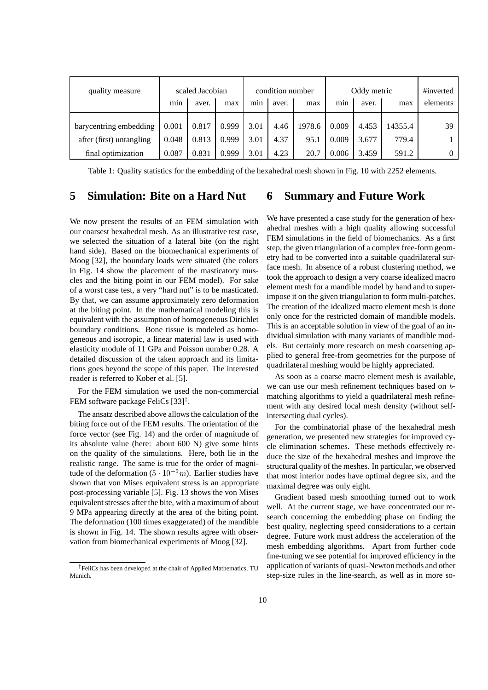| quality measure          | scaled Jacobian |       |       | condition number |       |        | Oddy metric |       |         | #inverted |
|--------------------------|-----------------|-------|-------|------------------|-------|--------|-------------|-------|---------|-----------|
|                          | min             | aver. | max   | m <sub>1</sub> n | aver. | max    | min         | aver. | max     | elements  |
| barycentring embedding   | 0.001           | 0.817 | 0.999 | 3.01             | 4.46  | 1978.6 | 0.009       | 4.453 | 14355.4 | 39        |
| after (first) untangling | 0.048           | 0.813 | 0.999 | 3.01             | 4.37  | 95.1   | 0.009       | 3.677 | 779.4   |           |
| final optimization       | 0.087           | 0.831 | 0.999 | 3.01             | 4.23  | 20.7   | 0.006       | 3.459 | 591.2   | $\Omega$  |

Table 1: Quality statistics for the embedding of the hexahedral mesh shown in Fig. 10 with 2252 elements.

#### **5 Simulation: Bite on a Hard Nut 6 Summary and Future Work**

We now present the results of an FEM simulation with our coarsest hexahedral mesh. As an illustrative test case, we selected the situation of a lateral bite (on the right hand side). Based on the biomechanical experiments of Moog [32], the boundary loads were situated (the colors in Fig. 14 show the placement of the masticatory muscles and the biting point in our FEM model). For sake of a worst case test, a very "hard nut" is to be masticated. By that, we can assume approximately zero deformation at the biting point. In the mathematical modeling this is equivalent with the assumption of homogeneous Dirichlet boundary conditions. Bone tissue is modeled as homogeneous and isotropic, a linear material law is used with elasticity module of 11 GPa and Poisson number 0.28. A detailed discussion of the taken approach and its limitations goes beyond the scope of this paper. The interested reader is referred to Kober et al. [5].

For the FEM simulation we used the non-commercial FEM software package FeliCs  $[33]$ <sup> $\ddagger$ </sup>.

The ansatz described above allows the calculation of the biting force out of the FEM results. The orientation of the force vector (see Fig. 14) and the order of magnitude of its absolute value (here: about 600 N) give some hints on the quality of the simulations. Here, both lie in the realistic range. The same is true for the order of magnitude of the deformation  $(5 \cdot 10^{-5}m)$ . Earlier studies have shown that von Mises equivalent stress is an appropriate post-processing variable [5]. Fig. 13 shows the von Mises equivalent stresses after the bite, with a maximum of about 9 MPa appearing directly at the area of the biting point. The deformation (100 times exaggerated) of the mandible is shown in Fig. 14. The shown results agree with observation from biomechanical experiments of Moog [32].

We have presented a case study for the generation of hexahedral meshes with a high quality allowing successful FEM simulations in the field of biomechanics. As a first step, the given triangulation of a complex free-form geometry had to be converted into a suitable quadrilateral surface mesh. In absence of a robust clustering method, we took the approach to design a very coarse idealized macro element mesh for a mandible model by hand and to superimpose it on the given triangulation to form multi-patches. The creation of the idealized macro element mesh is done only once for the restricted domain of mandible models. This is an acceptable solution in view of the goal of an individual simulation with many variants of mandible models. But certainly more research on mesh coarsening applied to general free-from geometries for the purpose of quadrilateral meshing would be highly appreciated.

As soon as a coarse macro element mesh is available, we can use our mesh refinement techniques based on  $b$ matching algorithms to yield a quadrilateral mesh refinement with any desired local mesh density (without selfintersecting dual cycles).

For the combinatorial phase of the hexahedral mesh generation, we presented new strategies for improved cycle elimination schemes. These methods effectively reduce the size of the hexahedral meshes and improve the structural quality of the meshes. In particular, we observed that most interior nodes have optimal degree six, and the maximal degree was only eight.

Gradient based mesh smoothing turned out to work well. At the current stage, we have concentrated our research concerning the embedding phase on finding the best quality, neglecting speed considerations to a certain degree. Future work must address the acceleration of the mesh embedding algorithms. Apart from further code fine-tuning we see potential for improved efficiency in the application of variants of quasi-Newton methods and other step-size rules in the line-search, as well as in more so-

<sup>z</sup> FeliCs has been developed at the chair of Applied Mathematics, TU Munich.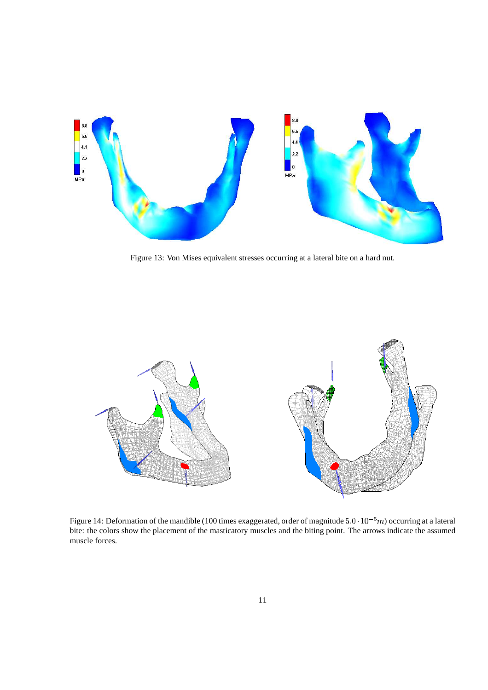

Figure 13: Von Mises equivalent stresses occurring at a lateral bite on a hard nut.



Figure 14: Deformation of the mandible (100 times exaggerated, order of magnitude  $5.0 \cdot 10^{-5}m$ ) occurring at a lateral bite: the colors show the placement of the masticatory muscles and the biting point. The arrows indicate the assumed muscle forces.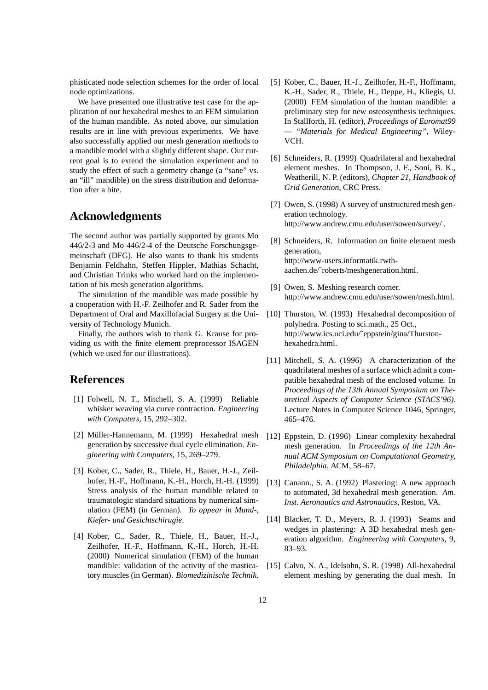phisticated node selection schemes for the order of local node optimizations.

We have presented one illustrative test case for the application of our hexahedral meshes to an FEM simulation of the human mandible. As noted above, our simulation results are in line with previous experiments. We have also successfully applied our mesh generation methods to a mandible model with a slightly different shape. Our current goal is to extend the simulation experiment and to study the effect of such a geometry change (a "sane" vs. an "ill" mandible) on the stress distribution and deformation after a bite.

## **Acknowledgments**

The second author was partially supported by grants Mo 446/2-3 and Mo 446/2-4 of the Deutsche Forschungsgemeinschaft (DFG). He also wants to thank his students Benjamin Feldhahn, Steffen Hippler, Mathias Schacht, and Christian Trinks who worked hard on the implementation of his mesh generation algorithms.

The simulation of the mandible was made possible by a cooperation with H.-F. Zeilhofer and R. Sader from the Department of Oral and Maxillofacial Surgery at the University of Technology Munich.

Finally, the authors wish to thank G. Krause for providing us with the finite element preprocessor ISAGEN (which we used for our illustrations).

## **References**

- [1] Folwell, N. T., Mitchell, S. A. (1999) Reliable whisker weaving via curve contraction. *Engineering with Computers*, 15, 292–302.
- [2] Müller-Hannemann, M. (1999) Hexahedral mesh generation by successive dual cycle elimination. *Engineering with Computers*, 15, 269–279.
- [3] Kober, C., Sader, R., Thiele, H., Bauer, H.-J., Zeilhofer, H.-F., Hoffmann, K.-H., Horch, H.-H. (1999) Stress analysis of the human mandible related to traumatologic standard situations by numerical simulation (FEM) (in German). *To appear in Mund-, Kiefer- und Gesichtschirugie*.
- [4] Kober, C., Sader, R., Thiele, H., Bauer, H.-J., Zeilhofer, H.-F., Hoffmann, K.-H., Horch, H.-H. (2000) Numerical simulation (FEM) of the human mandible: validation of the activity of the masticatory muscles (in German). *Biomedizinische Technik*.
- [5] Kober, C., Bauer, H.-J., Zeilhofer, H.-F., Hoffmann, K.-H., Sader, R., Thiele, H., Deppe, H., Kliegis, U. (2000) FEM simulation of the human mandible: a preliminary step for new osteosynthesis techniques. In Stallforth, H. (editor), *Proceedings of Euromat99 — "Materials for Medical Engineering"*, Wiley-VCH.
- [6] Schneiders, R. (1999) Quadrilateral and hexahedral element meshes. In Thompson, J. F., Soni, B. K., Weatherill, N. P. (editors), *Chapter 21, Handbook of Grid Generation*, CRC Press.
- [7] Owen, S. (1998) A survey of unstructured mesh generation technology. http://www.andrew.cmu.edu/user/sowen/survey/ .
- [8] Schneiders, R. Information on finite element mesh generation, http://www-users.informatik.rwthaachen.de/˜roberts/meshgeneration.html.
- [9] Owen, S. Meshing research corner. http://www.andrew.cmu.edu/user/sowen/mesh.html.
- [10] Thurston, W. (1993) Hexahedral decomposition of polyhedra. Posting to sci.math., 25 Oct., http://www.ics.uci.edu/˜eppstein/gina/Thurstonhexahedra.html.
- [11] Mitchell, S. A. (1996) A characterization of the quadrilateral meshes of a surface which admit a compatible hexahedral mesh of the enclosed volume. In *Proceedings of the 13th Annual Symposium on Theoretical Aspects of Computer Science (STACS'96)*. Lecture Notes in Computer Science 1046, Springer, 465–476.
- [12] Eppstein, D. (1996) Linear complexity hexahedral mesh generation. In *Proceedings of the 12th Annual ACM Symposium on Computational Geometry, Philadelphia*, ACM, 58–67.
- [13] Canann., S. A. (1992) Plastering: A new approach to automated, 3d hexahedral mesh generation. *Am. Inst. Aeronautics and Astronautics*, Reston, VA.
- [14] Blacker, T. D., Meyers, R. J. (1993) Seams and wedges in plastering: A 3D hexahedral mesh generation algorithm. *Engineering with Computers*, 9, 83–93.
- [15] Calvo, N. A., Idelsohn, S. R. (1998) All-hexahedral element meshing by generating the dual mesh. In